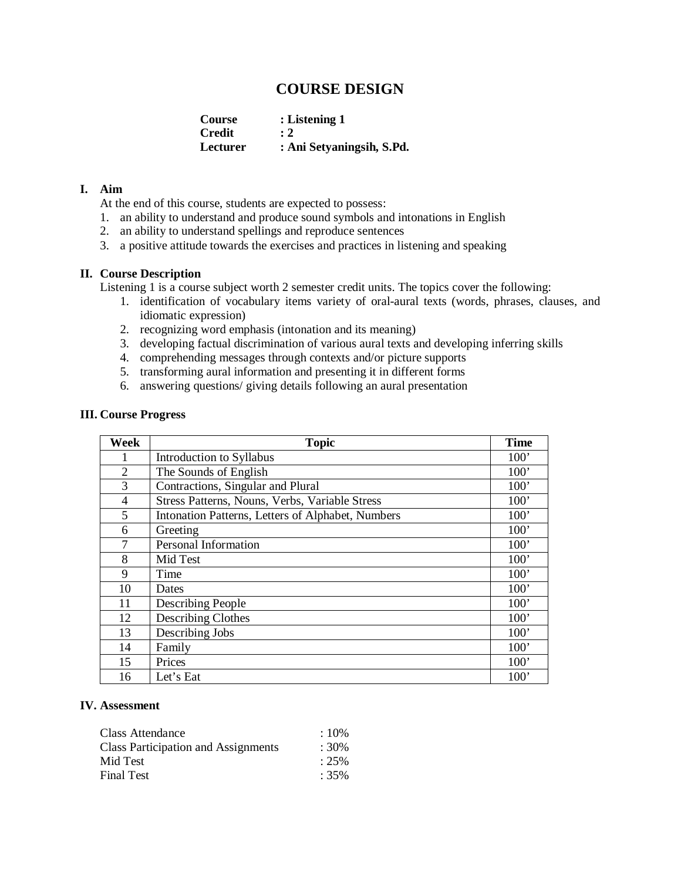# **COURSE DESIGN**

**Course : Listening 1 Credit** : 2<br> **Lecturer** : A **Lecturer : Ani Setyaningsih, S.Pd.**

## **I. Aim**

At the end of this course, students are expected to possess:

- 1. an ability to understand and produce sound symbols and intonations in English
- 2. an ability to understand spellings and reproduce sentences
- 3. a positive attitude towards the exercises and practices in listening and speaking

### **II. Course Description**

Listening 1 is a course subject worth 2 semester credit units. The topics cover the following:

- 1. identification of vocabulary items variety of oral-aural texts (words, phrases, clauses, and idiomatic expression)
- 2. recognizing word emphasis (intonation and its meaning)
- 3. developing factual discrimination of various aural texts and developing inferring skills
- 4. comprehending messages through contexts and/or picture supports
- 5. transforming aural information and presenting it in different forms
- 6. answering questions/ giving details following an aural presentation

#### **III. Course Progress**

| Week           | <b>Topic</b>                                      | <b>Time</b> |
|----------------|---------------------------------------------------|-------------|
| 1              | Introduction to Syllabus                          | 100'        |
| $\overline{2}$ | The Sounds of English                             | 100'        |
| 3              | Contractions, Singular and Plural                 | 100'        |
| 4              | Stress Patterns, Nouns, Verbs, Variable Stress    | 100'        |
| 5              | Intonation Patterns, Letters of Alphabet, Numbers | 100'        |
| 6              | Greeting                                          | 100'        |
| $\tau$         | Personal Information                              | 100'        |
| 8              | Mid Test                                          | 100'        |
| 9              | Time                                              | 100'        |
| 10             | Dates                                             | 100'        |
| 11             | Describing People                                 | 100'        |
| 12             | <b>Describing Clothes</b>                         | 100'        |
| 13             | Describing Jobs                                   | 100'        |
| 14             | Family                                            | 100'        |
| 15             | Prices                                            | 100'        |
| 16             | Let's Eat                                         | 100'        |

### **IV. Assessment**

| Class Attendance                           | $\therefore 10\%$ |
|--------------------------------------------|-------------------|
| <b>Class Participation and Assignments</b> | $:30\%$           |
| Mid Test                                   | $: 25\%$          |
| Final Test                                 | $:35\%$           |